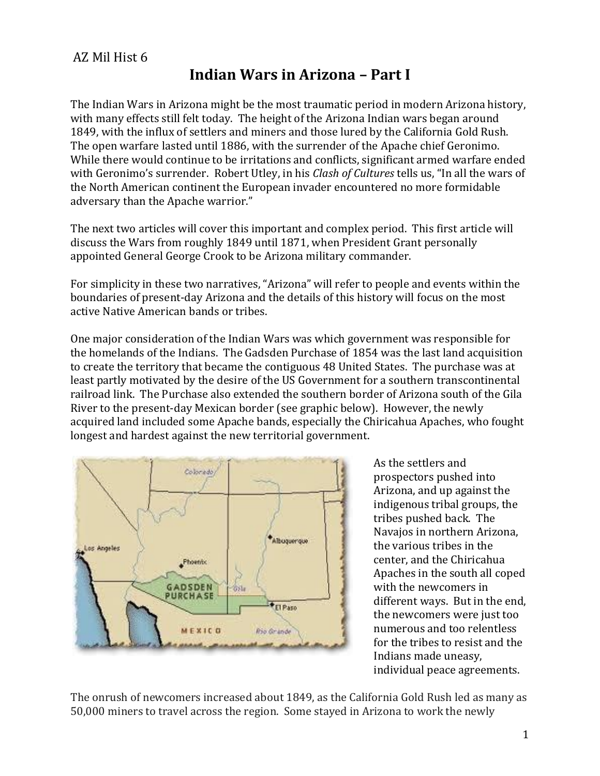## AZ Mil Hist 6

## **Indian Wars in Arizona – Part I**

The Indian Wars in Arizona might be the most traumatic period in modern Arizona history, with many effects still felt today. The height of the Arizona Indian wars began around 1849, with the influx of settlers and miners and those lured by the California Gold Rush. The open warfare lasted until 1886, with the surrender of the Apache chief Geronimo. While there would continue to be irritations and conflicts, significant armed warfare ended with Geronimo's surrender. Robert Utley, in his *Clash of Cultures* tells us, "In all the wars of the North American continent the European invader encountered no more formidable adversary than the Apache warrior."

The next two articles will cover this important and complex period. This first article will discuss the Wars from roughly 1849 until 1871, when President Grant personally appointed General George Crook to be Arizona military commander.

For simplicity in these two narratives, "Arizona" will refer to people and events within the boundaries of present-day Arizona and the details of this history will focus on the most active Native American bands or tribes.

One major consideration of the Indian Wars was which government was responsible for the homelands of the Indians. The Gadsden Purchase of 1854 was the last land acquisition to create the territory that became the contiguous 48 United States. The purchase was at least partly motivated by the desire of the US Government for a southern transcontinental railroad link. The Purchase also extended the southern border of Arizona south of the Gila River to the present-day Mexican border (see graphic below). However, the newly acquired land included some Apache bands, especially the Chiricahua Apaches, who fought longest and hardest against the new territorial government.



As the settlers and prospectors pushed into Arizona, and up against the indigenous tribal groups, the tribes pushed back. The Navajos in northern Arizona, the various tribes in the center, and the Chiricahua Apaches in the south all coped with the newcomers in different ways. But in the end, the newcomers were just too numerous and too relentless for the tribes to resist and the Indians made uneasy, individual peace agreements.

The onrush of newcomers increased about 1849, as the California Gold Rush led as many as 50,000 miners to travel across the region. Some stayed in Arizona to work the newly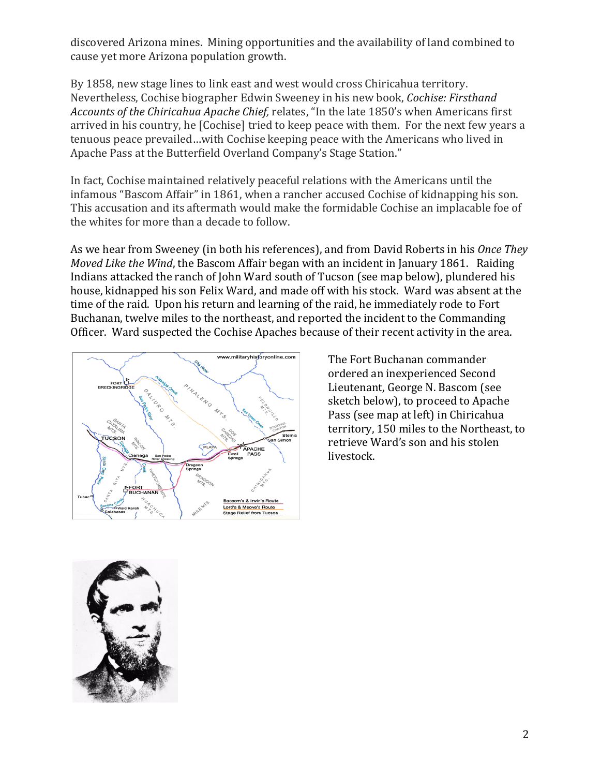discovered Arizona mines. Mining opportunities and the availability of land combined to cause yet more Arizona population growth.

By 1858, new stage lines to link east and west would cross Chiricahua territory. Nevertheless, Cochise biographer Edwin Sweeney in his new book, *Cochise: Firsthand Accounts of the Chiricahua Apache Chief,* relates, "In the late 1850's when Americans first arrived in his country, he [Cochise] tried to keep peace with them. For the next few years a tenuous peace prevailed…with Cochise keeping peace with the Americans who lived in Apache Pass at the Butterfield Overland Company's Stage Station."

In fact, Cochise maintained relatively peaceful relations with the Americans until the infamous "Bascom Affair" in 1861, when a rancher accused Cochise of kidnapping his son. This accusation and its aftermath would make the formidable Cochise an implacable foe of the whites for more than a decade to follow.

As we hear from Sweeney (in both his references), and from David Roberts in his *Once They Moved Like the Wind*, the Bascom Affair began with an incident in January 1861. Raiding Indians attacked the ranch of John Ward south of Tucson (see map below), plundered his house, kidnapped his son Felix Ward, and made off with his stock. Ward was absent at the time of the raid. Upon his return and learning of the raid, he immediately rode to Fort Buchanan, twelve miles to the northeast, and reported the incident to the Commanding Officer. Ward suspected the Cochise Apaches because of their recent activity in the area.



The Fort Buchanan commander ordered an inexperienced Second Lieutenant, George N. Bascom (see sketch below), to proceed to Apache Pass (see map at left) in Chiricahua territory, 150 miles to the Northeast, to retrieve Ward's son and his stolen livestock.

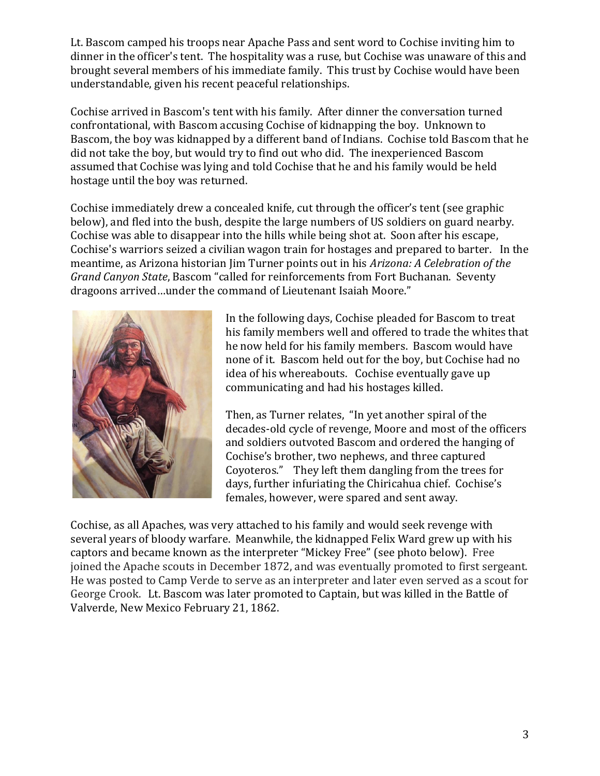Lt. Bascom camped his troops near Apache Pass and sent word to Cochise inviting him to dinner in the officer's tent. The hospitality was a ruse, but Cochise was unaware of this and brought several members of his immediate family. This trust by Cochise would have been understandable, given his recent peaceful relationships.

Cochise arrived in Bascom's tent with his family. After dinner the conversation turned confrontational, with Bascom accusing Cochise of kidnapping the boy. Unknown to Bascom, the boy was kidnapped by a different band of Indians. Cochise told Bascom that he did not take the boy, but would try to find out who did. The inexperienced Bascom assumed that Cochise was lying and told Cochise that he and his family would be held hostage until the boy was returned.

Cochise immediately drew a concealed knife, cut through the officer's tent (see graphic below), and fled into the bush, despite the large numbers of US soldiers on guard nearby. Cochise was able to disappear into the hills while being shot at. Soon after his escape, Cochise's warriors seized a civilian wagon train for hostages and prepared to barter. In the meantime, as Arizona historian Jim Turner points out in his *Arizona: A Celebration of the Grand Canyon State*, Bascom "called for reinforcements from Fort Buchanan. Seventy dragoons arrived…under the command of Lieutenant Isaiah Moore."



In the following days, Cochise pleaded for Bascom to treat his family members well and offered to trade the whites that he now held for his family members. Bascom would have none of it. Bascom held out for the boy, but Cochise had no idea of his whereabouts. Cochise eventually gave up communicating and had his hostages killed.

Then, as Turner relates, "In yet another spiral of the decades-old cycle of revenge, Moore and most of the officers and soldiers outvoted Bascom and ordered the hanging of Cochise's brother, two nephews, and three captured Coyoteros." They left them dangling from the trees for days, further infuriating the Chiricahua chief. Cochise's females, however, were spared and sent away.

Cochise, as all Apaches, was very attached to his family and would seek revenge with several years of bloody warfare. Meanwhile, the kidnapped Felix Ward grew up with his captors and became known as the interpreter "Mickey Free" (see photo below). Free joined the Apache scouts in December 1872, and was eventually promoted to first sergeant. He was posted to Camp Verde to serve as an interpreter and later even served as a scout for George Crook. Lt. Bascom was later promoted to Captain, but was killed in the Battle of Valverde, New Mexico February 21, 1862.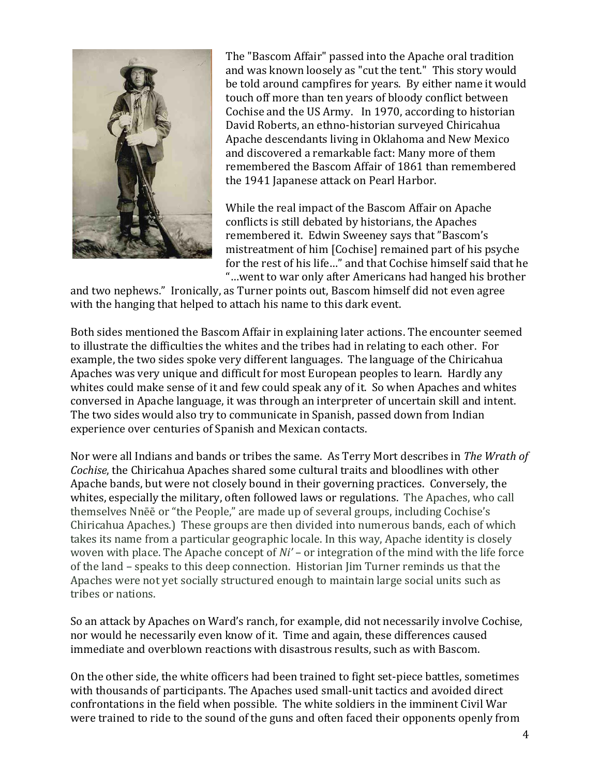

The "Bascom Affair" passed into the Apache oral tradition and was known loosely as "cut the tent." This story would be told around campfires for years. By either name it would touch off more than ten years of bloody conflict between Cochise and the US Army. In 1970, according to historian David Roberts, an ethno-historian surveyed Chiricahua Apache descendants living in Oklahoma and New Mexico and discovered a remarkable fact: Many more of them remembered the Bascom Affair of 1861 than remembered the 1941 Japanese attack on Pearl Harbor.

While the real impact of the Bascom Affair on Apache conflicts is still debated by historians, the Apaches remembered it. Edwin Sweeney says that "Bascom's mistreatment of him [Cochise] remained part of his psyche for the rest of his life…" and that Cochise himself said that he "…went to war only after Americans had hanged his brother

and two nephews." Ironically, as Turner points out, Bascom himself did not even agree with the hanging that helped to attach his name to this dark event.

Both sides mentioned the Bascom Affair in explaining later actions. The encounter seemed to illustrate the difficulties the whites and the tribes had in relating to each other. For example, the two sides spoke very different languages. The language of the Chiricahua Apaches was very unique and difficult for most European peoples to learn. Hardly any whites could make sense of it and few could speak any of it. So when Apaches and whites conversed in Apache language, it was through an interpreter of uncertain skill and intent. The two sides would also try to communicate in Spanish, passed down from Indian experience over centuries of Spanish and Mexican contacts.

Nor were all Indians and bands or tribes the same. As Terry Mort describes in *The Wrath of Cochise*, the Chiricahua Apaches shared some cultural traits and bloodlines with other Apache bands, but were not closely bound in their governing practices. Conversely, the whites, especially the military, often followed laws or regulations. The Apaches, who call themselves Nnēē or "the People," are made up of several groups, including Cochise's Chiricahua Apaches.) These groups are then divided into numerous bands, each of which takes its name from a particular geographic locale. In this way, Apache identity is closely woven with place. The Apache concept of *Ni'* – or integration of the mind with the life force of the land – speaks to this deep connection. Historian Jim Turner reminds us that the Apaches were not yet socially structured enough to maintain large social units such as tribes or nations.

So an attack by Apaches on Ward's ranch, for example, did not necessarily involve Cochise, nor would he necessarily even know of it. Time and again, these differences caused immediate and overblown reactions with disastrous results, such as with Bascom.

On the other side, the white officers had been trained to fight set-piece battles, sometimes with thousands of participants. The Apaches used small-unit tactics and avoided direct confrontations in the field when possible. The white soldiers in the imminent Civil War were trained to ride to the sound of the guns and often faced their opponents openly from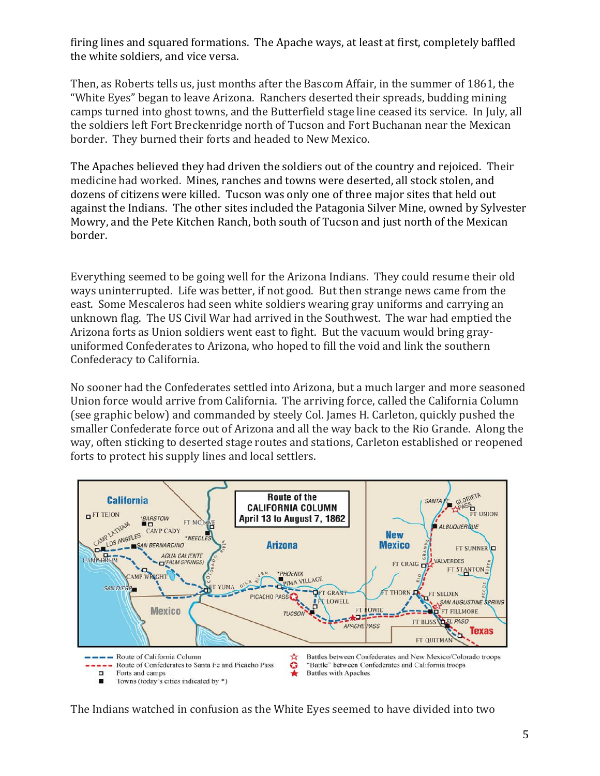firing lines and squared formations. The Apache ways, at least at first, completely baffled the white soldiers, and vice versa.

Then, as Roberts tells us, just months after the Bascom Affair, in the summer of 1861, the "White Eyes" began to leave Arizona. Ranchers deserted their spreads, budding mining camps turned into ghost towns, and the Butterfield stage line ceased its service. In July, all the soldiers left Fort Breckenridge north of Tucson and Fort Buchanan near the Mexican border. They burned their forts and headed to New Mexico.

The Apaches believed they had driven the soldiers out of the country and rejoiced. Their medicine had worked. Mines, ranches and towns were deserted, all stock stolen, and dozens of citizens were killed. Tucson was only one of three major sites that held out against the Indians. The other sites included the Patagonia Silver Mine, owned by Sylvester Mowry, and the Pete Kitchen Ranch, both south of Tucson and just north of the Mexican border.

Everything seemed to be going well for the Arizona Indians. They could resume their old ways uninterrupted. Life was better, if not good. But then strange news came from the east. Some Mescaleros had seen white soldiers wearing gray uniforms and carrying an unknown flag. The US Civil War had arrived in the Southwest. The war had emptied the Arizona forts as Union soldiers went east to fight. But the vacuum would bring grayuniformed Confederates to Arizona, who hoped to fill the void and link the southern Confederacy to California.

No sooner had the Confederates settled into Arizona, but a much larger and more seasoned Union force would arrive from California. The arriving force, called the California Column (see graphic below) and commanded by steely Col. James H. Carleton, quickly pushed the smaller Confederate force out of Arizona and all the way back to the Rio Grande. Along the way, often sticking to deserted stage routes and stations, Carleton established or reopened forts to protect his supply lines and local settlers.



The Indians watched in confusion as the White Eyes seemed to have divided into two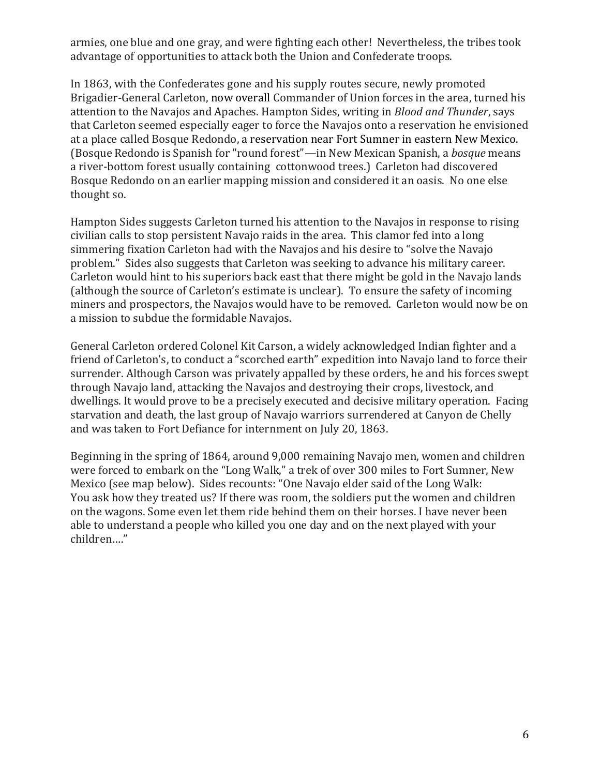armies, one blue and one gray, and were fighting each other! Nevertheless, the tribes took advantage of opportunities to attack both the Union and Confederate troops.

In 1863, with the Confederates gone and his supply routes secure, newly promoted Brigadier-General Carleton, now overall Commander of Union forces in the area, turned his attention to the Navajos and Apaches. Hampton Sides, writing in *Blood and Thunder*, says that Carleton seemed especially eager to force the Navajos onto a reservation he envisioned at a place called Bosque Redondo, a reservation near Fort Sumner in eastern New Mexico. (Bosque Redondo is Spanish for "round forest"—in New Mexican Spanish, a *bosque* means a river-bottom forest usually containing [c](https://en.wikipedia.org/wiki/Populus_sect._Aigeiros)ottonwood trees.) Carleton had discovered Bosque Redondo on an earlier mapping mission and considered it an oasis. No one else thought so.

Hampton Sides suggests Carleton turned his attention to the Navajos in response to rising civilian calls to stop persistent Navajo raids in the area. This clamor fed into a long simmering fixation Carleton had with the Navajos and his desire to "solve the Navajo problem." Sides also suggests that Carleton was seeking to advance his military career. Carleton would hint to his superiors back east that there might be gold in the Navajo lands (although the source of Carleton's estimate is unclear). To ensure the safety of incoming miners and prospectors, the Navajos would have to be removed. Carleton would now be on a mission to subdue the formidable Navajos.

General Carleton ordered Colonel Kit Carson, a widely acknowledged Indian fighter and a friend of Carleton's, to conduct a "scorched earth" expedition into Navajo land to force their surrender. Although Carson was privately appalled by these orders, he and his forces swept through Navajo land, attacking the Navajos and destroying their crops, livestock, and dwellings. It would prove to be a precisely executed and decisive military operation. Facing starvation and death, the last group of Navajo warriors surrendered at Canyon de Chelly and was taken to Fort Defiance for internment on July 20, 1863.

Beginning in the spring of 1864, around 9,000 remaining Navajo men, women and children were forced to embark on the "Long Walk," a trek of over 300 miles to Fort Sumner, New Mexico (see map below). Sides recounts: "One Navajo elder said of the Long Walk: You ask how they treated us? If there was room, the soldiers put the women and children on the wagons. Some even let them ride behind them on their horses. I have never been able to understand a people who killed you one day and on the next played with your children…."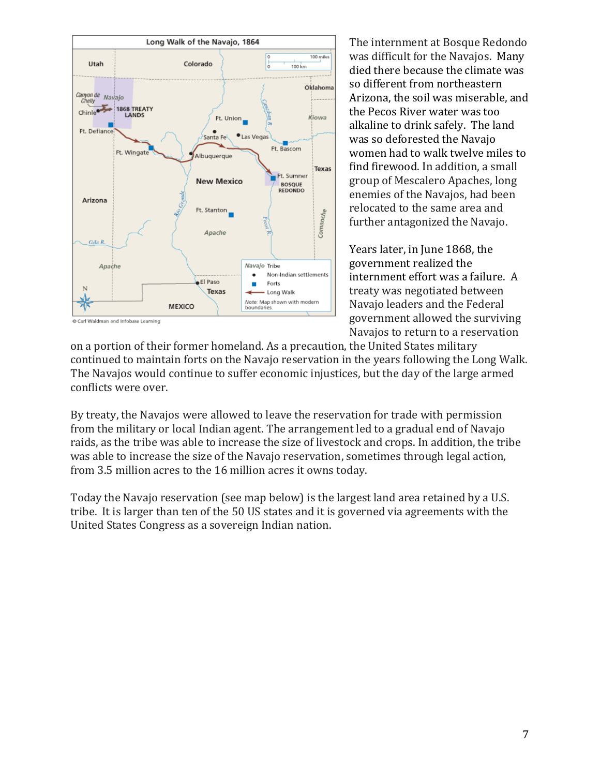

The internment at Bosque Redondo was difficult for the Navajos. Many died there because the climate was so different from northeastern Arizona, the soil was miserable, and the Pecos River water was too alkaline to drink safely. The land was so deforested the Navajo women had to walk twelve miles to find firewood. In addition, a small group of Mescalero Apaches, long enemies of the Navajos, had been relocated to the same area and further antagonized the Navajo.

Years later, in June 1868, the government realized the internment effort was a failure. A treaty was negotiated between Navajo leaders and the Federal government allowed the surviving Navajos to return to a reservation

on a portion of their former homeland. As a precaution, the United States military continued to maintain forts on the Navajo reservation in the years following the Long Walk. The Navajos would continue to suffer economic injustices, but the day of the large armed conflicts were over.

By treaty, the Navajos were allowed to leave the reservation for trade with permission from the military or local Indian agent. The arrangement led to a gradual end of Navajo raids, as the tribe was able to increase the size of livestock and crops. In addition, the tribe was able to increase the size of the Navajo reservation, sometimes through legal action, from 3.5 million acres to the 16 million acres it owns today.

Today the Navajo reservation (see map below) is the largest land area retained by a U.S. tribe. It is larger than ten of the 50 US states and it is governed via agreements with the United States Congress as a sovereign Indian nation.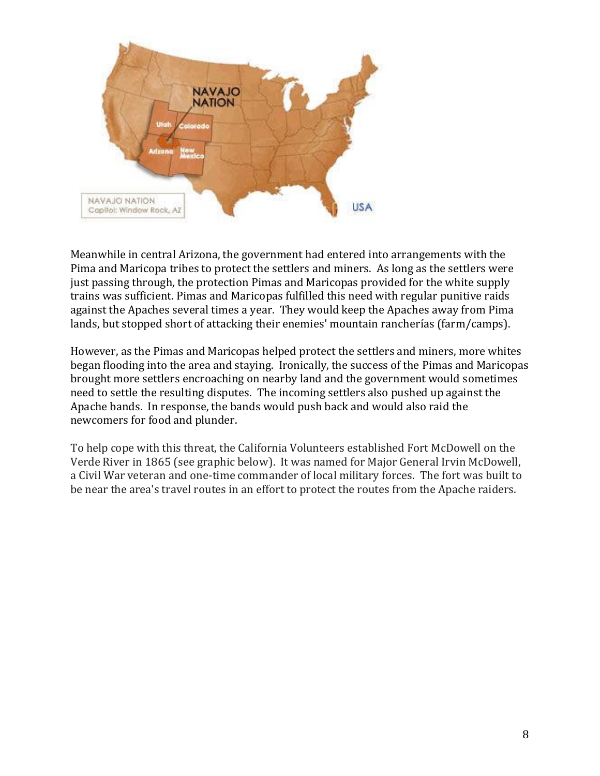

Meanwhile in central Arizona, the government had entered into arrangements with the Pima and Maricopa tribes to protect the settlers and miners. As long as the settlers were just passing through, the protection Pimas and Maricopas provided for the white supply trains was sufficient. Pimas and Maricopas fulfilled this need with regular punitive raids against the Apaches several times a year. They would keep the Apaches away from Pima lands, but stopped short of attacking their enemies' mountain rancherías (farm/camps).

However, as the Pimas and Maricopas helped protect the settlers and miners, more whites began flooding into the area and staying. Ironically, the success of the Pimas and Maricopas brought more settlers encroaching on nearby land and the government would sometimes need to settle the resulting disputes. The incoming settlers also pushed up against the Apache bands. In response, the bands would push back and would also raid the newcomers for food and plunder.

To help cope with this threat, the California Volunteers established Fort McDowell on the Verde River in 1865 (see graphic below). It was named for Major General Irvin McDowell, a Civil War veteran and one-time commander of local military forces. The fort was built to be near the area's travel routes in an effort to protect the routes from the Apache raiders.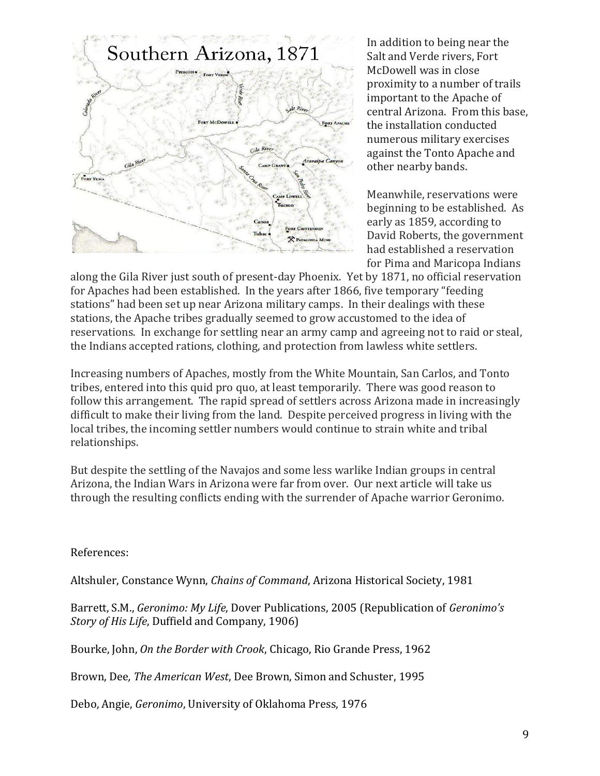

In addition to being near the Salt and Verde rivers, Fort McDowell was in close proximity to a number of trails important to the Apache of central Arizona. From this base, the installation conducted numerous military exercises against the Tonto Apache and other nearby bands.

Meanwhile, reservations were beginning to be established. As early as 1859, according to David Roberts, the government had established a reservation for Pima and Maricopa Indians

along the Gila River just south of present-day Phoenix. Yet by 1871, no official reservation for Apaches had been established. In the years after 1866, five temporary "feeding stations" had been set up near Arizona military camps. In their dealings with these stations, the Apache tribes gradually seemed to grow accustomed to the idea of reservations. In exchange for settling near an army camp and agreeing not to raid or steal, the Indians accepted rations, clothing, and protection from lawless white settlers.

Increasing numbers of Apaches, mostly from the White Mountain, San Carlos, and Tonto tribes, entered into this quid pro quo, at least temporarily. There was good reason to follow this arrangement. The rapid spread of settlers across Arizona made in increasingly difficult to make their living from the land. Despite perceived progress in living with the local tribes, the incoming settler numbers would continue to strain white and tribal relationships.

But despite the settling of the Navajos and some less warlike Indian groups in central Arizona, the Indian Wars in Arizona were far from over. Our next article will take us through the resulting conflicts ending with the surrender of Apache warrior Geronimo.

References:

Altshuler, Constance Wynn, *Chains of Command*, Arizona Historical Society, 1981

Barrett, S.M., *Geronimo: My Life*, Dover Publications, 2005 (Republication of *Geronimo's Story of His Life*, Duffield and Company, 1906)

Bourke, John, *On the Border with Crook*, Chicago, Rio Grande Press, 1962

Brown, Dee*, The American West*, Dee Brown, Simon and Schuster, 1995

Debo, Angie, *Geronimo*, University of Oklahoma Press, 1976